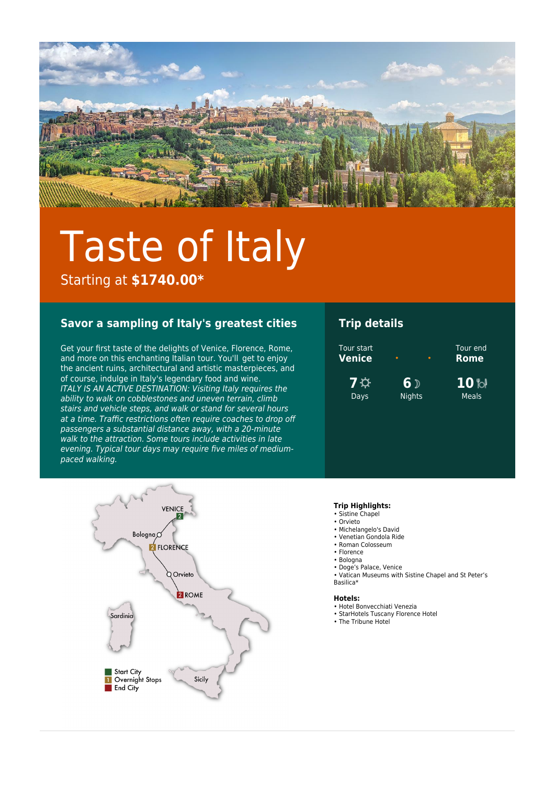

# Taste of Italy

Starting at **\$1740.00\***

### **Savor a sampling of Italy's greatest cities**

Get your first taste of the delights of Venice, Florence, Rome, and more on this enchanting Italian tour. You'll  get to enjoy the ancient ruins, architectural and artistic masterpieces, and of course, indulge in Italy's legendary food and wine.  ITALY IS AN ACTIVE DESTINATION: Visiting Italy requires the ability to walk on cobblestones and uneven terrain, climb stairs and vehicle steps, and walk or stand for several hours at a time. Traffic restrictions often require coaches to drop off passengers a substantial distance away, with a 20-minute walk to the attraction. Some tours include activities in late evening. Typical tour days may require five miles of mediumpaced walking.

## **Trip details**





#### **Trip Highlights:**

- Sistine Chapel • Orvieto
- Michelangelo's David
- Venetian Gondola Ride
- Roman Colosseum
- Florence
- Bologna
- Doge's Palace, Venice
- Vatican Museums with Sistine Chapel and St Peter's Basilica\*

#### **Hotels:**

- Hotel Bonvecchiati Venezia
- StarHotels Tuscany Florence Hotel
- The Tribune Hotel